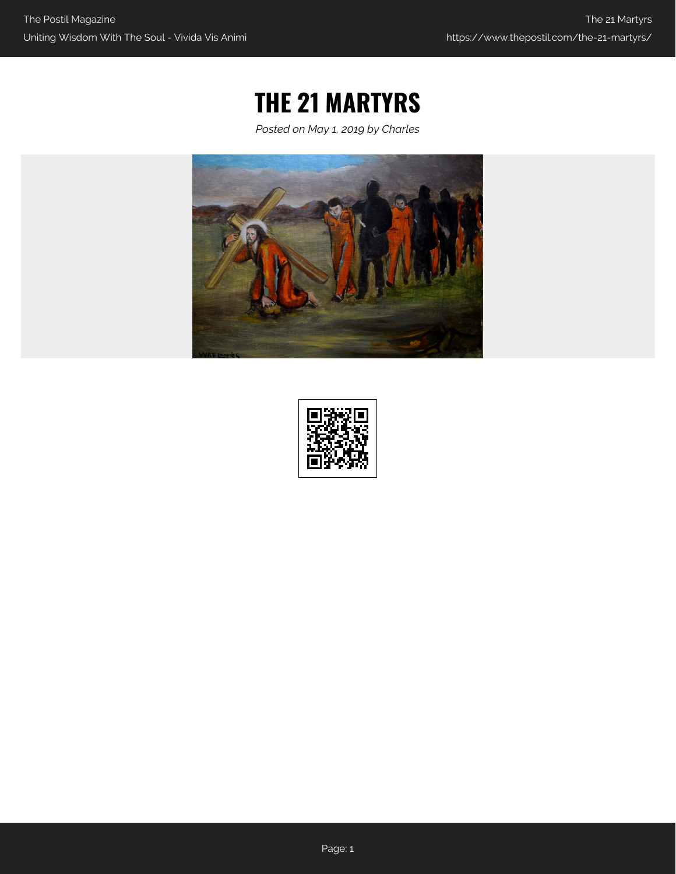## **THE 21 MARTYRS**

*Posted on May 1, 2019 by Charles*



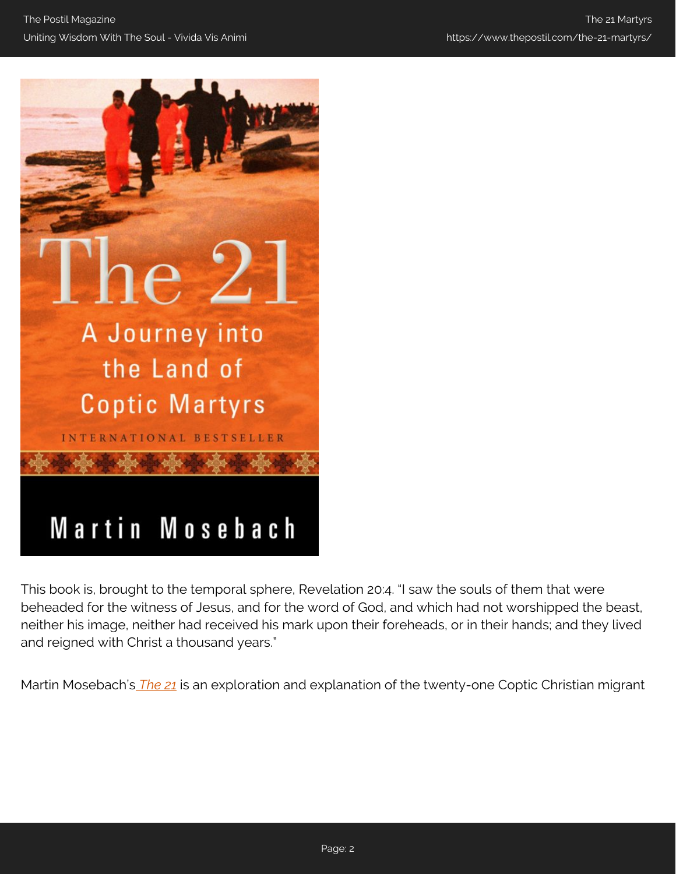

This book is, brought to the temporal sphere, Revelation 20:4. "I saw the souls of them that were beheaded for the witness of Jesus, and for the word of God, and which had not worshipped the beast, neither his image, neither had received his mark upon their foreheads, or in their hands; and they lived and reigned with Christ a thousand years."

Martin Mosebach's *[The 21](https://amzn.to/2LfUwC9)* is an exploration and explanation of the twenty-one Coptic Christian migrant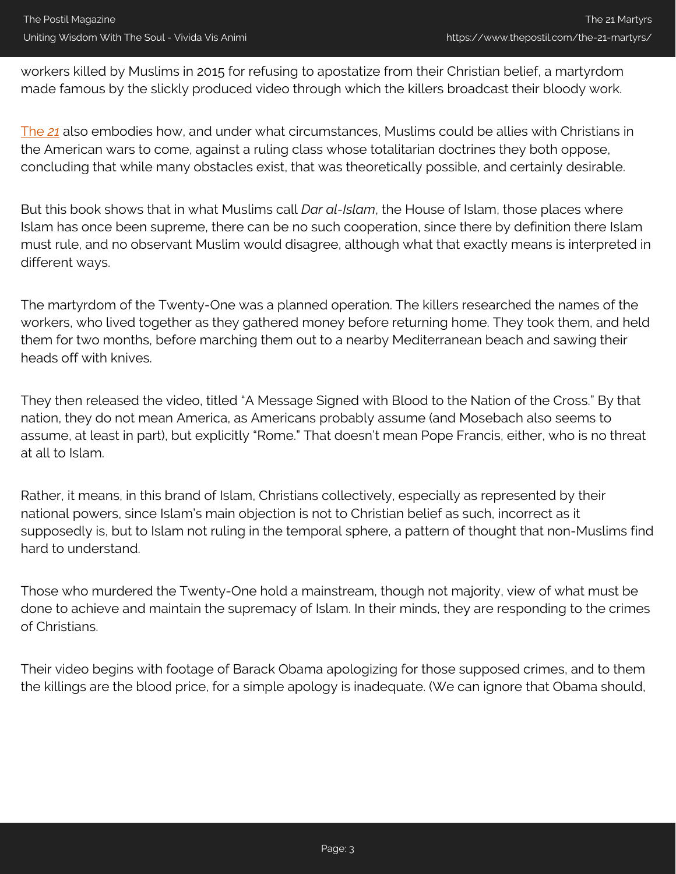workers killed by Muslims in 2015 for refusing to apostatize from their Christian belief, a martyrdom made famous by the slickly produced video through which the killers broadcast their bloody work.

[The](https://amzn.to/2LfUwC9) *[21](https://amzn.to/2LfUwC9)* also embodies how, and under what circumstances, Muslims could be allies with Christians in the American wars to come, against a ruling class whose totalitarian doctrines they both oppose, concluding that while many obstacles exist, that was theoretically possible, and certainly desirable.

But this book shows that in what Muslims call *Dar al-Islam*, the House of Islam, those places where Islam has once been supreme, there can be no such cooperation, since there by definition there Islam must rule, and no observant Muslim would disagree, although what that exactly means is interpreted in different ways.

The martyrdom of the Twenty-One was a planned operation. The killers researched the names of the workers, who lived together as they gathered money before returning home. They took them, and held them for two months, before marching them out to a nearby Mediterranean beach and sawing their heads off with knives.

They then released the video, titled "A Message Signed with Blood to the Nation of the Cross." By that nation, they do not mean America, as Americans probably assume (and Mosebach also seems to assume, at least in part), but explicitly "Rome." That doesn't mean Pope Francis, either, who is no threat at all to Islam.

Rather, it means, in this brand of Islam, Christians collectively, especially as represented by their national powers, since Islam's main objection is not to Christian belief as such, incorrect as it supposedly is, but to Islam not ruling in the temporal sphere, a pattern of thought that non-Muslims find hard to understand.

Those who murdered the Twenty-One hold a mainstream, though not majority, view of what must be done to achieve and maintain the supremacy of Islam. In their minds, they are responding to the crimes of Christians.

Their video begins with footage of Barack Obama apologizing for those supposed crimes, and to them the killings are the blood price, for a simple apology is inadequate. (We can ignore that Obama should,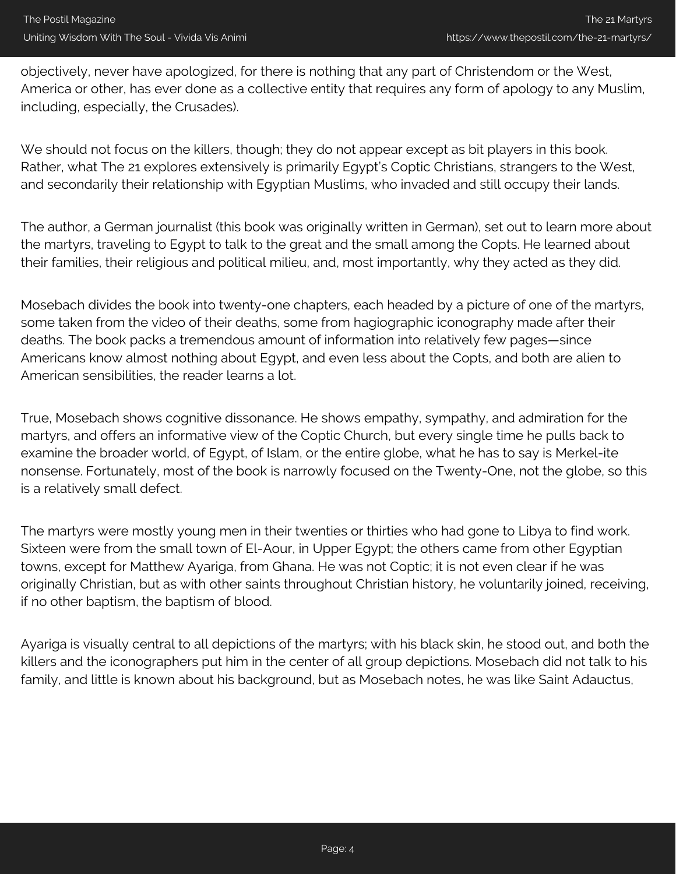objectively, never have apologized, for there is nothing that any part of Christendom or the West, America or other, has ever done as a collective entity that requires any form of apology to any Muslim, including, especially, the Crusades).

We should not focus on the killers, though; they do not appear except as bit players in this book. Rather, what The 21 explores extensively is primarily Egypt's Coptic Christians, strangers to the West, and secondarily their relationship with Egyptian Muslims, who invaded and still occupy their lands.

The author, a German journalist (this book was originally written in German), set out to learn more about the martyrs, traveling to Egypt to talk to the great and the small among the Copts. He learned about their families, their religious and political milieu, and, most importantly, why they acted as they did.

Mosebach divides the book into twenty-one chapters, each headed by a picture of one of the martyrs, some taken from the video of their deaths, some from hagiographic iconography made after their deaths. The book packs a tremendous amount of information into relatively few pages—since Americans know almost nothing about Egypt, and even less about the Copts, and both are alien to American sensibilities, the reader learns a lot.

True, Mosebach shows cognitive dissonance. He shows empathy, sympathy, and admiration for the martyrs, and offers an informative view of the Coptic Church, but every single time he pulls back to examine the broader world, of Egypt, of Islam, or the entire globe, what he has to say is Merkel-ite nonsense. Fortunately, most of the book is narrowly focused on the Twenty-One, not the globe, so this is a relatively small defect.

The martyrs were mostly young men in their twenties or thirties who had gone to Libya to find work. Sixteen were from the small town of El-Aour, in Upper Egypt; the others came from other Egyptian towns, except for Matthew Ayariga, from Ghana. He was not Coptic; it is not even clear if he was originally Christian, but as with other saints throughout Christian history, he voluntarily joined, receiving, if no other baptism, the baptism of blood.

Ayariga is visually central to all depictions of the martyrs; with his black skin, he stood out, and both the killers and the iconographers put him in the center of all group depictions. Mosebach did not talk to his family, and little is known about his background, but as Mosebach notes, he was like Saint Adauctus,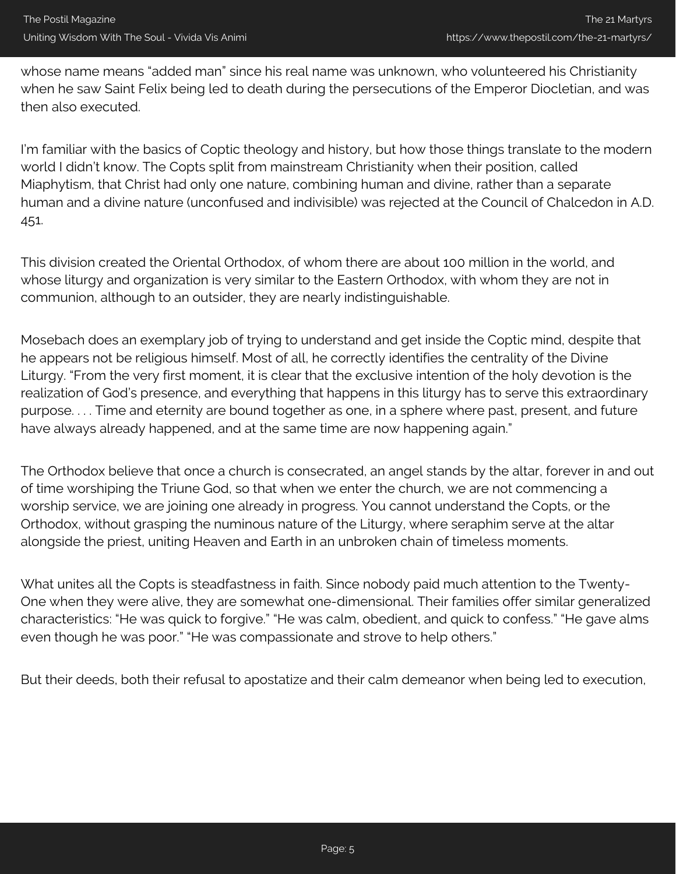whose name means "added man" since his real name was unknown, who volunteered his Christianity when he saw Saint Felix being led to death during the persecutions of the Emperor Diocletian, and was then also executed.

I'm familiar with the basics of Coptic theology and history, but how those things translate to the modern world I didn't know. The Copts split from mainstream Christianity when their position, called Miaphytism, that Christ had only one nature, combining human and divine, rather than a separate human and a divine nature (unconfused and indivisible) was rejected at the Council of Chalcedon in A.D. 451.

This division created the Oriental Orthodox, of whom there are about 100 million in the world, and whose liturgy and organization is very similar to the Eastern Orthodox, with whom they are not in communion, although to an outsider, they are nearly indistinguishable.

Mosebach does an exemplary job of trying to understand and get inside the Coptic mind, despite that he appears not be religious himself. Most of all, he correctly identifies the centrality of the Divine Liturgy. "From the very first moment, it is clear that the exclusive intention of the holy devotion is the realization of God's presence, and everything that happens in this liturgy has to serve this extraordinary purpose. . . . Time and eternity are bound together as one, in a sphere where past, present, and future have always already happened, and at the same time are now happening again."

The Orthodox believe that once a church is consecrated, an angel stands by the altar, forever in and out of time worshiping the Triune God, so that when we enter the church, we are not commencing a worship service, we are joining one already in progress. You cannot understand the Copts, or the Orthodox, without grasping the numinous nature of the Liturgy, where seraphim serve at the altar alongside the priest, uniting Heaven and Earth in an unbroken chain of timeless moments.

What unites all the Copts is steadfastness in faith. Since nobody paid much attention to the Twenty-One when they were alive, they are somewhat one-dimensional. Their families offer similar generalized characteristics: "He was quick to forgive." "He was calm, obedient, and quick to confess." "He gave alms even though he was poor." "He was compassionate and strove to help others."

But their deeds, both their refusal to apostatize and their calm demeanor when being led to execution,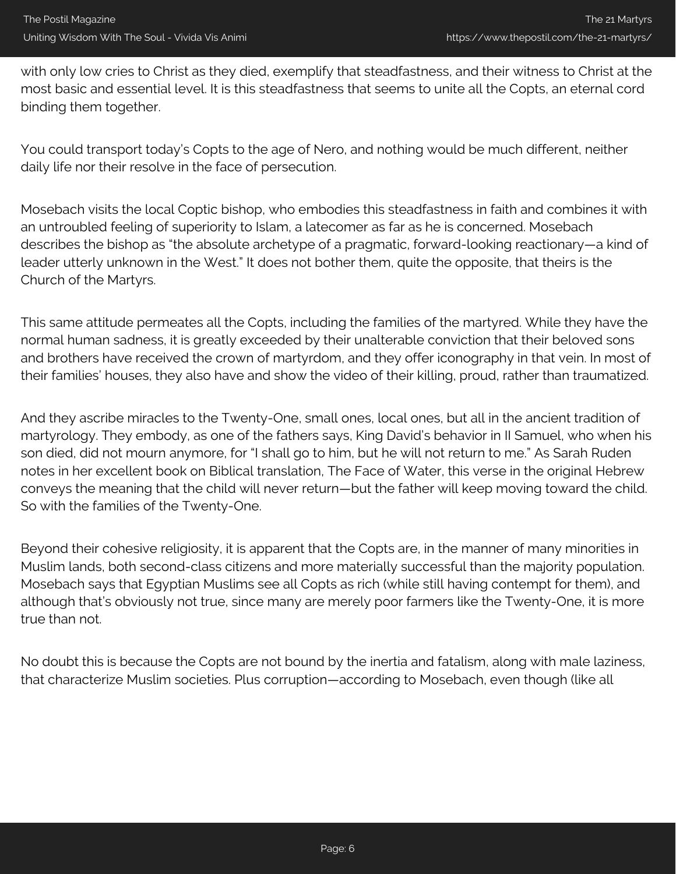with only low cries to Christ as they died, exemplify that steadfastness, and their witness to Christ at the most basic and essential level. It is this steadfastness that seems to unite all the Copts, an eternal cord binding them together.

You could transport today's Copts to the age of Nero, and nothing would be much different, neither daily life nor their resolve in the face of persecution.

Mosebach visits the local Coptic bishop, who embodies this steadfastness in faith and combines it with an untroubled feeling of superiority to Islam, a latecomer as far as he is concerned. Mosebach describes the bishop as "the absolute archetype of a pragmatic, forward-looking reactionary—a kind of leader utterly unknown in the West." It does not bother them, quite the opposite, that theirs is the Church of the Martyrs.

This same attitude permeates all the Copts, including the families of the martyred. While they have the normal human sadness, it is greatly exceeded by their unalterable conviction that their beloved sons and brothers have received the crown of martyrdom, and they offer iconography in that vein. In most of their families' houses, they also have and show the video of their killing, proud, rather than traumatized.

And they ascribe miracles to the Twenty-One, small ones, local ones, but all in the ancient tradition of martyrology. They embody, as one of the fathers says, King David's behavior in II Samuel, who when his son died, did not mourn anymore, for "I shall go to him, but he will not return to me." As Sarah Ruden notes in her excellent book on Biblical translation, The Face of Water, this verse in the original Hebrew conveys the meaning that the child will never return—but the father will keep moving toward the child. So with the families of the Twenty-One.

Beyond their cohesive religiosity, it is apparent that the Copts are, in the manner of many minorities in Muslim lands, both second-class citizens and more materially successful than the majority population. Mosebach says that Egyptian Muslims see all Copts as rich (while still having contempt for them), and although that's obviously not true, since many are merely poor farmers like the Twenty-One, it is more true than not.

No doubt this is because the Copts are not bound by the inertia and fatalism, along with male laziness, that characterize Muslim societies. Plus corruption—according to Mosebach, even though (like all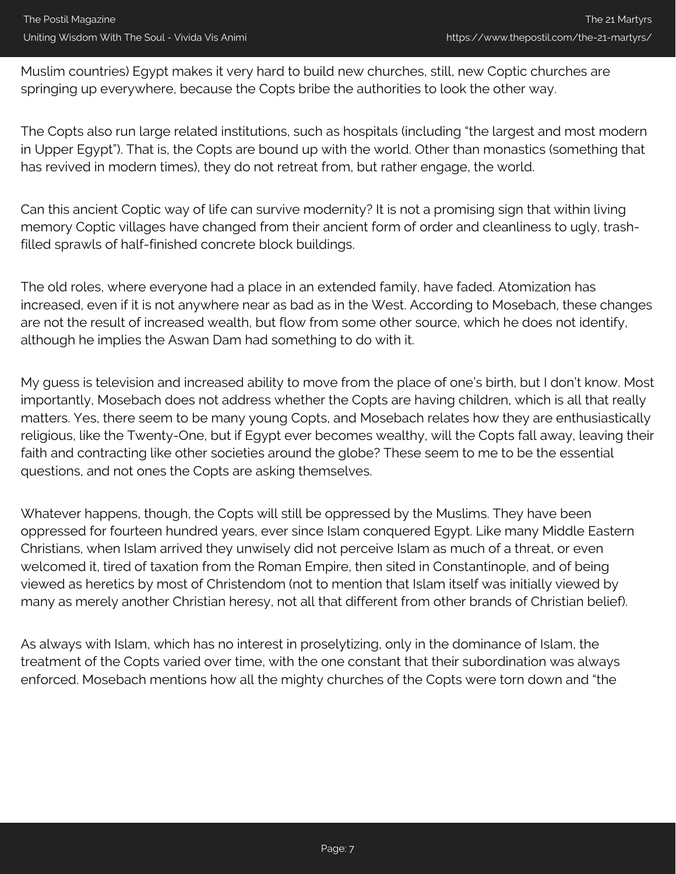Muslim countries) Egypt makes it very hard to build new churches, still, new Coptic churches are springing up everywhere, because the Copts bribe the authorities to look the other way.

The Copts also run large related institutions, such as hospitals (including "the largest and most modern in Upper Egypt"). That is, the Copts are bound up with the world. Other than monastics (something that has revived in modern times), they do not retreat from, but rather engage, the world.

Can this ancient Coptic way of life can survive modernity? It is not a promising sign that within living memory Coptic villages have changed from their ancient form of order and cleanliness to ugly, trashfilled sprawls of half-finished concrete block buildings.

The old roles, where everyone had a place in an extended family, have faded. Atomization has increased, even if it is not anywhere near as bad as in the West. According to Mosebach, these changes are not the result of increased wealth, but flow from some other source, which he does not identify, although he implies the Aswan Dam had something to do with it.

My guess is television and increased ability to move from the place of one's birth, but I don't know. Most importantly, Mosebach does not address whether the Copts are having children, which is all that really matters. Yes, there seem to be many young Copts, and Mosebach relates how they are enthusiastically religious, like the Twenty-One, but if Egypt ever becomes wealthy, will the Copts fall away, leaving their faith and contracting like other societies around the globe? These seem to me to be the essential questions, and not ones the Copts are asking themselves.

Whatever happens, though, the Copts will still be oppressed by the Muslims. They have been oppressed for fourteen hundred years, ever since Islam conquered Egypt. Like many Middle Eastern Christians, when Islam arrived they unwisely did not perceive Islam as much of a threat, or even welcomed it, tired of taxation from the Roman Empire, then sited in Constantinople, and of being viewed as heretics by most of Christendom (not to mention that Islam itself was initially viewed by many as merely another Christian heresy, not all that different from other brands of Christian belief).

As always with Islam, which has no interest in proselytizing, only in the dominance of Islam, the treatment of the Copts varied over time, with the one constant that their subordination was always enforced. Mosebach mentions how all the mighty churches of the Copts were torn down and "the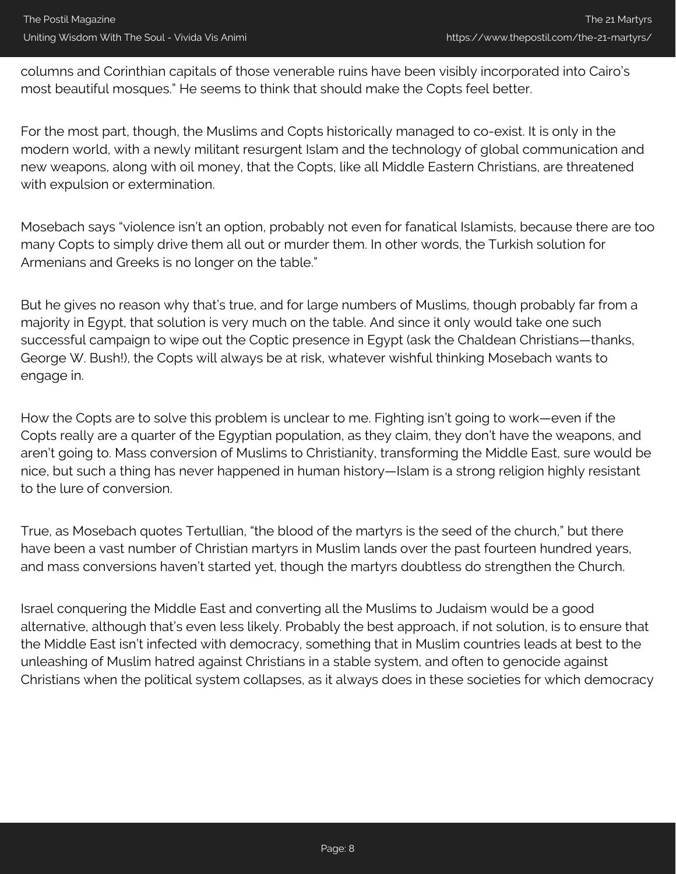columns and Corinthian capitals of those venerable ruins have been visibly incorporated into Cairo's most beautiful mosques." He seems to think that should make the Copts feel better.

For the most part, though, the Muslims and Copts historically managed to co-exist. It is only in the modern world, with a newly militant resurgent Islam and the technology of global communication and new weapons, along with oil money, that the Copts, like all Middle Eastern Christians, are threatened with expulsion or extermination.

Mosebach says "violence isn't an option, probably not even for fanatical Islamists, because there are too many Copts to simply drive them all out or murder them. In other words, the Turkish solution for Armenians and Greeks is no longer on the table."

But he gives no reason why that's true, and for large numbers of Muslims, though probably far from a majority in Egypt, that solution is very much on the table. And since it only would take one such successful campaign to wipe out the Coptic presence in Egypt (ask the Chaldean Christians—thanks, George W. Bush!), the Copts will always be at risk, whatever wishful thinking Mosebach wants to engage in.

How the Copts are to solve this problem is unclear to me. Fighting isn't going to work—even if the Copts really are a quarter of the Egyptian population, as they claim, they don't have the weapons, and aren't going to. Mass conversion of Muslims to Christianity, transforming the Middle East, sure would be nice, but such a thing has never happened in human history—Islam is a strong religion highly resistant to the lure of conversion.

True, as Mosebach quotes Tertullian, "the blood of the martyrs is the seed of the church," but there have been a vast number of Christian martyrs in Muslim lands over the past fourteen hundred years, and mass conversions haven't started yet, though the martyrs doubtless do strengthen the Church.

Israel conquering the Middle East and converting all the Muslims to Judaism would be a good alternative, although that's even less likely. Probably the best approach, if not solution, is to ensure that the Middle East isn't infected with democracy, something that in Muslim countries leads at best to the unleashing of Muslim hatred against Christians in a stable system, and often to genocide against Christians when the political system collapses, as it always does in these societies for which democracy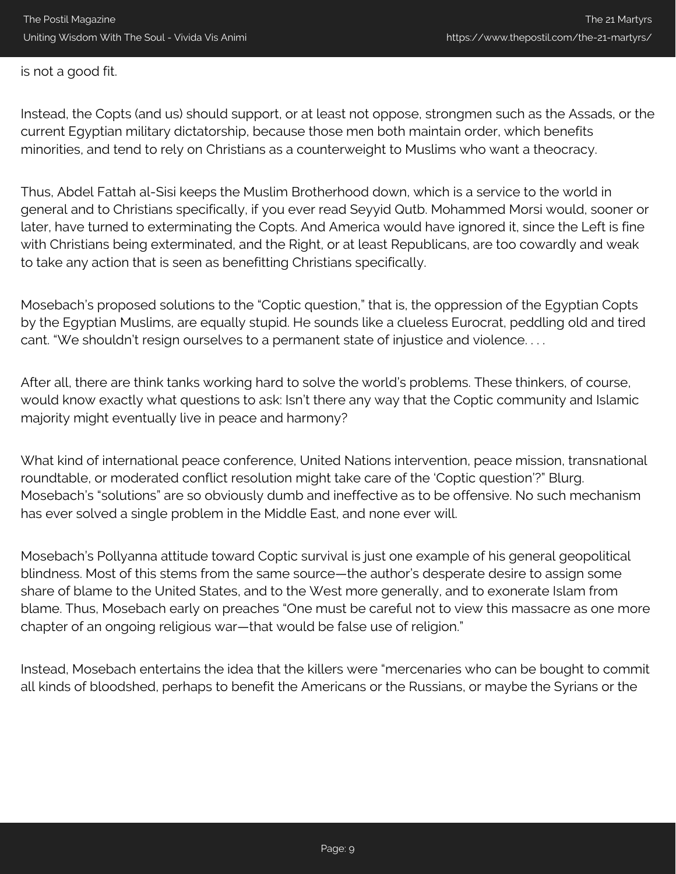is not a good fit.

Instead, the Copts (and us) should support, or at least not oppose, strongmen such as the Assads, or the current Egyptian military dictatorship, because those men both maintain order, which benefits minorities, and tend to rely on Christians as a counterweight to Muslims who want a theocracy.

Thus, Abdel Fattah al-Sisi keeps the Muslim Brotherhood down, which is a service to the world in general and to Christians specifically, if you ever read Seyyid Qutb. Mohammed Morsi would, sooner or later, have turned to exterminating the Copts. And America would have ignored it, since the Left is fine with Christians being exterminated, and the Right, or at least Republicans, are too cowardly and weak to take any action that is seen as benefitting Christians specifically.

Mosebach's proposed solutions to the "Coptic question," that is, the oppression of the Egyptian Copts by the Egyptian Muslims, are equally stupid. He sounds like a clueless Eurocrat, peddling old and tired cant. "We shouldn't resign ourselves to a permanent state of injustice and violence. . . .

After all, there are think tanks working hard to solve the world's problems. These thinkers, of course, would know exactly what questions to ask: Isn't there any way that the Coptic community and Islamic majority might eventually live in peace and harmony?

What kind of international peace conference, United Nations intervention, peace mission, transnational roundtable, or moderated conflict resolution might take care of the 'Coptic question'?" Blurg. Mosebach's "solutions" are so obviously dumb and ineffective as to be offensive. No such mechanism has ever solved a single problem in the Middle East, and none ever will.

Mosebach's Pollyanna attitude toward Coptic survival is just one example of his general geopolitical blindness. Most of this stems from the same source—the author's desperate desire to assign some share of blame to the United States, and to the West more generally, and to exonerate Islam from blame. Thus, Mosebach early on preaches "One must be careful not to view this massacre as one more chapter of an ongoing religious war—that would be false use of religion."

Instead, Mosebach entertains the idea that the killers were "mercenaries who can be bought to commit all kinds of bloodshed, perhaps to benefit the Americans or the Russians, or maybe the Syrians or the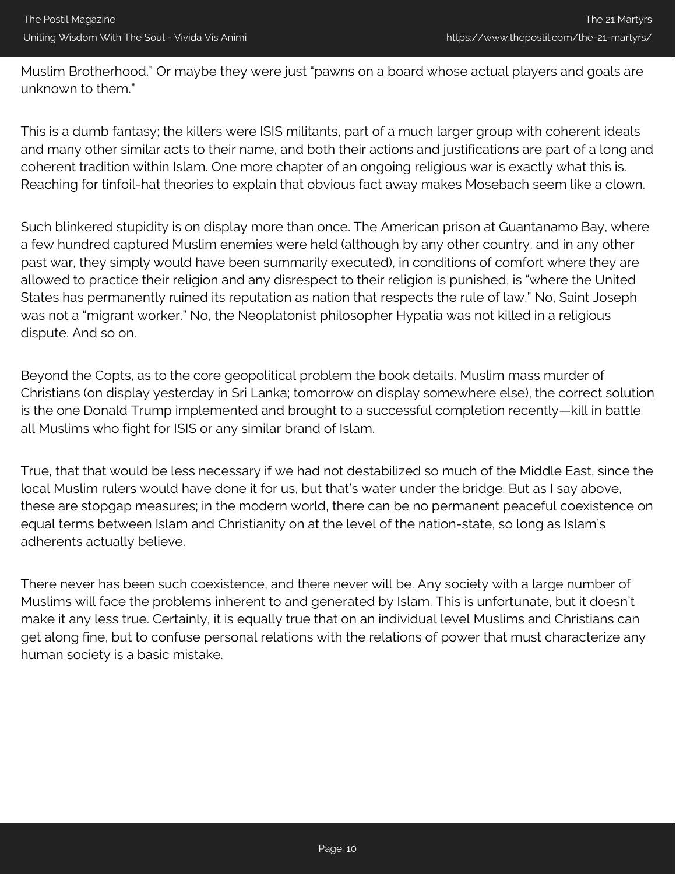Muslim Brotherhood." Or maybe they were just "pawns on a board whose actual players and goals are unknown to them."

This is a dumb fantasy; the killers were ISIS militants, part of a much larger group with coherent ideals and many other similar acts to their name, and both their actions and justifications are part of a long and coherent tradition within Islam. One more chapter of an ongoing religious war is exactly what this is. Reaching for tinfoil-hat theories to explain that obvious fact away makes Mosebach seem like a clown.

Such blinkered stupidity is on display more than once. The American prison at Guantanamo Bay, where a few hundred captured Muslim enemies were held (although by any other country, and in any other past war, they simply would have been summarily executed), in conditions of comfort where they are allowed to practice their religion and any disrespect to their religion is punished, is "where the United States has permanently ruined its reputation as nation that respects the rule of law." No, Saint Joseph was not a "migrant worker." No, the Neoplatonist philosopher Hypatia was not killed in a religious dispute. And so on.

Beyond the Copts, as to the core geopolitical problem the book details, Muslim mass murder of Christians (on display yesterday in Sri Lanka; tomorrow on display somewhere else), the correct solution is the one Donald Trump implemented and brought to a successful completion recently—kill in battle all Muslims who fight for ISIS or any similar brand of Islam.

True, that that would be less necessary if we had not destabilized so much of the Middle East, since the local Muslim rulers would have done it for us, but that's water under the bridge. But as I say above, these are stopgap measures; in the modern world, there can be no permanent peaceful coexistence on equal terms between Islam and Christianity on at the level of the nation-state, so long as Islam's adherents actually believe.

There never has been such coexistence, and there never will be. Any society with a large number of Muslims will face the problems inherent to and generated by Islam. This is unfortunate, but it doesn't make it any less true. Certainly, it is equally true that on an individual level Muslims and Christians can get along fine, but to confuse personal relations with the relations of power that must characterize any human society is a basic mistake.